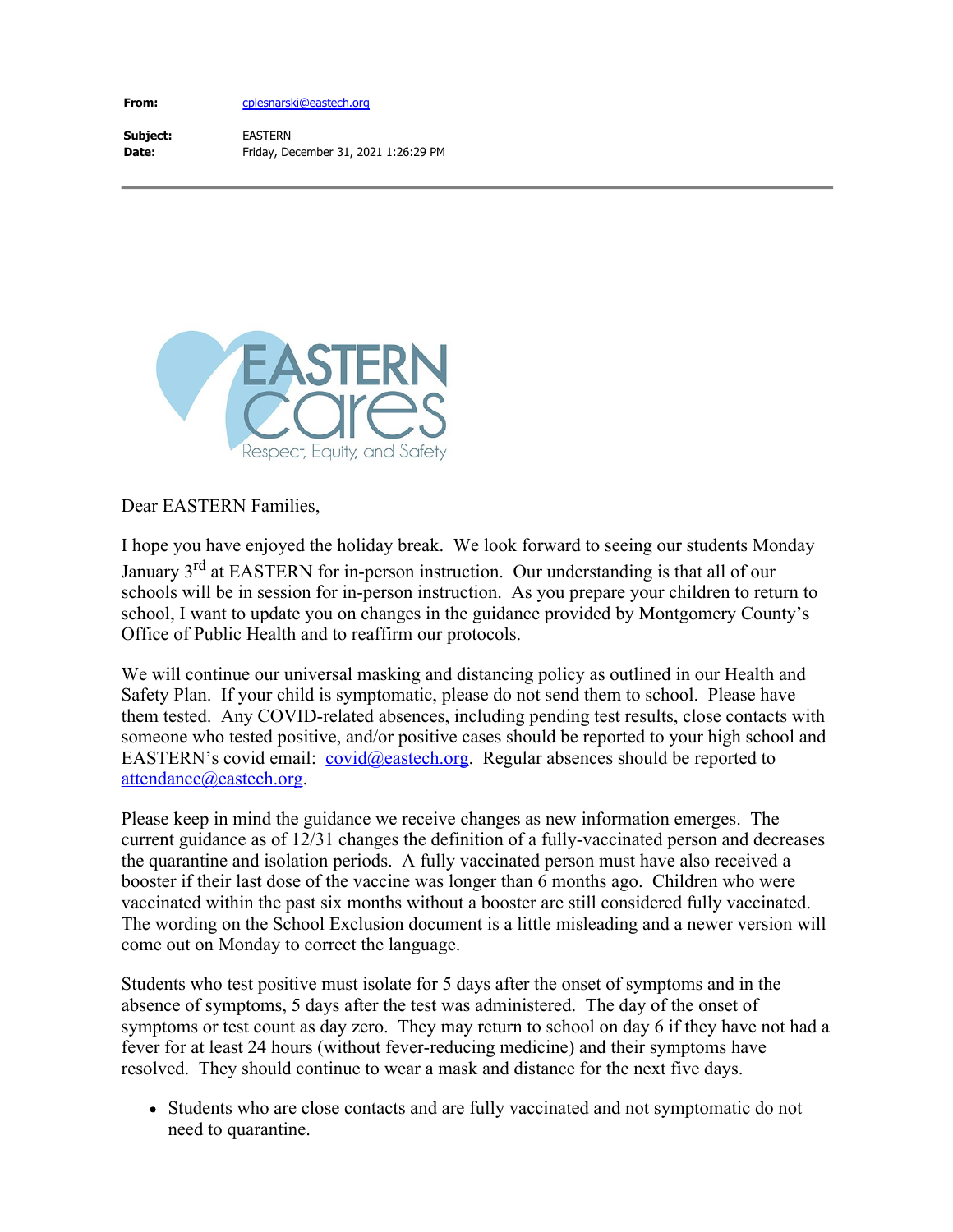**From:**

[cplesnarski@eastech.org](mailto:CPlesnarski@eastech.org)

**Subject: Date:** EASTERN Friday, December 31, 2021 1:26:29 PM



Dear EASTERN Families,

I hope you have enjoyed the holiday break. We look forward to seeing our students Monday January 3<sup>rd</sup> at EASTERN for in-person instruction. Our understanding is that all of our schools will be in session for in-person instruction. As you prepare your children to return to school, I want to update you on changes in the guidance provided by Montgomery County's Office of Public Health and to reaffirm our protocols.

We will continue our universal masking and distancing policy as outlined in our Health and Safety Plan. If your child is symptomatic, please do not send them to school. Please have them tested. Any COVID-related absences, including pending test results, close contacts with someone who tested positive, and/or positive cases should be reported to your high school and EASTERN's covid email: [covid@eastech.org](mailto:covid@eastech.org). Regular absences should be reported to [attendance@eastech.org](mailto:attendance@eastech.org).

Please keep in mind the guidance we receive changes as new information emerges. The current guidance as of 12/31 changes the definition of a fully-vaccinated person and decreases the quarantine and isolation periods. A fully vaccinated person must have also received a booster if their last dose of the vaccine was longer than 6 months ago. Children who were vaccinated within the past six months without a booster are still considered fully vaccinated. The wording on the School Exclusion document is a little misleading and a newer version will come out on Monday to correct the language.

Students who test positive must isolate for 5 days after the onset of symptoms and in the absence of symptoms, 5 days after the test was administered. The day of the onset of symptoms or test count as day zero. They may return to school on day 6 if they have not had a fever for at least 24 hours (without fever-reducing medicine) and their symptoms have resolved. They should continue to wear a mask and distance for the next five days.

• Students who are close contacts and are fully vaccinated and not symptomatic do not need to quarantine.